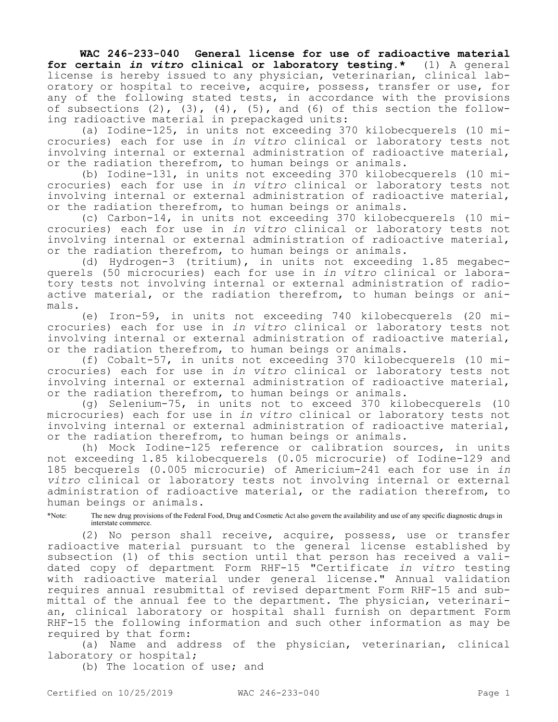**WAC 246-233-040 General license for use of radioactive material for certain** *in vitro* **clinical or laboratory testing.\*** (1) A general license is hereby issued to any physician, veterinarian, clinical laboratory or hospital to receive, acquire, possess, transfer or use, for any of the following stated tests, in accordance with the provisions of subsections  $(2)$ ,  $(3)$ ,  $(4)$ ,  $(5)$ , and  $(6)$  of this section the following radioactive material in prepackaged units:

(a) Iodine-125, in units not exceeding 370 kilobecquerels (10 microcuries) each for use in *in vitro* clinical or laboratory tests not involving internal or external administration of radioactive material, or the radiation therefrom, to human beings or animals.

(b) Iodine-131, in units not exceeding 370 kilobecquerels (10 microcuries) each for use in *in vitro* clinical or laboratory tests not involving internal or external administration of radioactive material, or the radiation therefrom, to human beings or animals.

(c) Carbon-14, in units not exceeding 370 kilobecquerels (10 microcuries) each for use in *in vitro* clinical or laboratory tests not involving internal or external administration of radioactive material, or the radiation therefrom, to human beings or animals.

(d) Hydrogen-3 (tritium), in units not exceeding 1.85 megabecquerels (50 microcuries) each for use in *in vitro* clinical or laboratory tests not involving internal or external administration of radioactive material, or the radiation therefrom, to human beings or animals.

(e) Iron-59, in units not exceeding 740 kilobecquerels (20 microcuries) each for use in *in vitro* clinical or laboratory tests not involving internal or external administration of radioactive material, or the radiation therefrom, to human beings or animals.

(f) Cobalt-57, in units not exceeding 370 kilobecquerels (10 microcuries) each for use in *in vitro* clinical or laboratory tests not involving internal or external administration of radioactive material, or the radiation therefrom, to human beings or animals.

(g) Selenium-75, in units not to exceed 370 kilobecquerels (10 microcuries) each for use in *in vitro* clinical or laboratory tests not involving internal or external administration of radioactive material, or the radiation therefrom, to human beings or animals.

(h) Mock Iodine-125 reference or calibration sources, in units not exceeding 1.85 kilobecquerels (0.05 microcurie) of Iodine-129 and 185 becquerels (0.005 microcurie) of Americium-241 each for use in *in vitro* clinical or laboratory tests not involving internal or external administration of radioactive material, or the radiation therefrom, to human beings or animals.

\*Note: The new drug provisions of the Federal Food, Drug and Cosmetic Act also govern the availability and use of any specific diagnostic drugs in interstate commerce.

(2) No person shall receive, acquire, possess, use or transfer radioactive material pursuant to the general license established by subsection (1) of this section until that person has received a validated copy of department Form RHF-15 "Certificate *in vitro* testing with radioactive material under general license." Annual validation requires annual resubmittal of revised department Form RHF-15 and submittal of the annual fee to the department. The physician, veterinarian, clinical laboratory or hospital shall furnish on department Form RHF-15 the following information and such other information as may be required by that form:

(a) Name and address of the physician, veterinarian, clinical laboratory or hospital;

(b) The location of use; and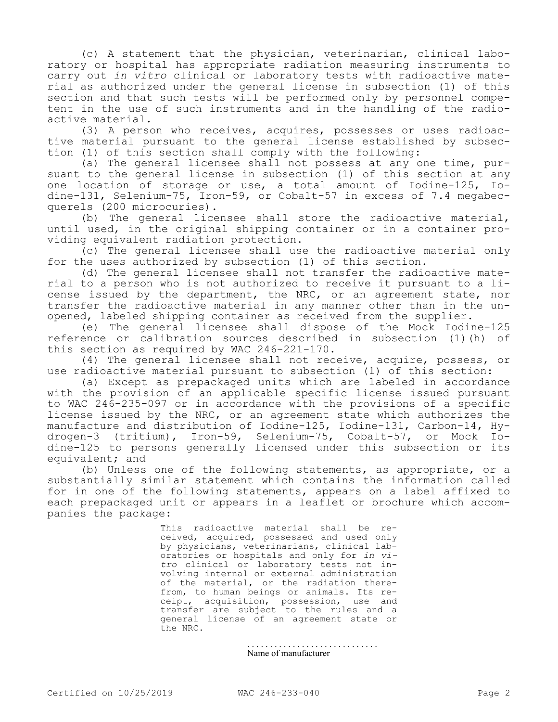(c) A statement that the physician, veterinarian, clinical laboratory or hospital has appropriate radiation measuring instruments to carry out *in vitro* clinical or laboratory tests with radioactive material as authorized under the general license in subsection (1) of this section and that such tests will be performed only by personnel competent in the use of such instruments and in the handling of the radioactive material.

(3) A person who receives, acquires, possesses or uses radioactive material pursuant to the general license established by subsection (1) of this section shall comply with the following:

(a) The general licensee shall not possess at any one time, pursuant to the general license in subsection (1) of this section at any one location of storage or use, a total amount of Iodine-125, Iodine-131, Selenium-75, Iron-59, or Cobalt-57 in excess of 7.4 megabecquerels (200 microcuries).

(b) The general licensee shall store the radioactive material, until used, in the original shipping container or in a container providing equivalent radiation protection.

(c) The general licensee shall use the radioactive material only for the uses authorized by subsection (1) of this section.

(d) The general licensee shall not transfer the radioactive material to a person who is not authorized to receive it pursuant to a license issued by the department, the NRC, or an agreement state, nor transfer the radioactive material in any manner other than in the unopened, labeled shipping container as received from the supplier.

(e) The general licensee shall dispose of the Mock Iodine-125 reference or calibration sources described in subsection (1)(h) of this section as required by WAC 246-221-170.

(4) The general licensee shall not receive, acquire, possess, or use radioactive material pursuant to subsection (1) of this section:

(a) Except as prepackaged units which are labeled in accordance with the provision of an applicable specific license issued pursuant to WAC 246-235-097 or in accordance with the provisions of a specific license issued by the NRC, or an agreement state which authorizes the manufacture and distribution of Iodine-125, Iodine-131, Carbon-14, Hydrogen-3 (tritium), Iron-59, Selenium-75, Cobalt-57, or Mock Iodine-125 to persons generally licensed under this subsection or its equivalent; and

(b) Unless one of the following statements, as appropriate, or a substantially similar statement which contains the information called for in one of the following statements, appears on a label affixed to each prepackaged unit or appears in a leaflet or brochure which accompanies the package:

> This radioactive material shall be received, acquired, possessed and used only by physicians, veterinarians, clinical laboratories or hospitals and only for *in vitro* clinical or laboratory tests not involving internal or external administration of the material, or the radiation therefrom, to human beings or animals. Its receipt, acquisition, possession, use and transfer are subject to the rules and a general license of an agreement state or the NRC.

> > . . . . . . . . . . . . . . . . . . . . . . . . . . . . . Name of manufacturer